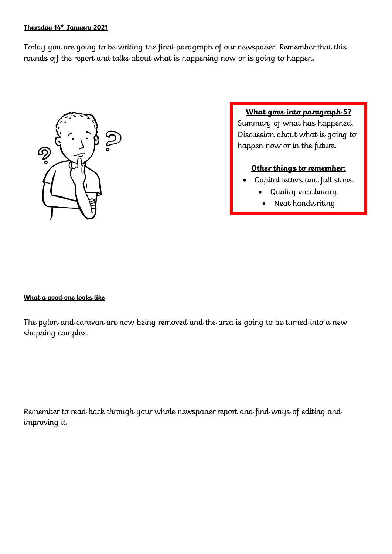## **Thursday 14th January 2021**

Today you are going to be writing the final paragraph of our newspaper. Remember that this rounds off the report and talks about what is happening now or is going to happen.



**What goes into paragraph 5?**

Summary of what has happened. Discussion about what is going to happen now or in the future.

## **Other things to remember:**

- Capital letters and full stops.
	- Quality vocabulary.
	- Neat handwriting

## **What a good one looks like**

The pylon and caravan are now being removed and the area is going to be turned into a new shopping complex.

Remember to read back through your whole newspaper report and find ways of editing and improving it.